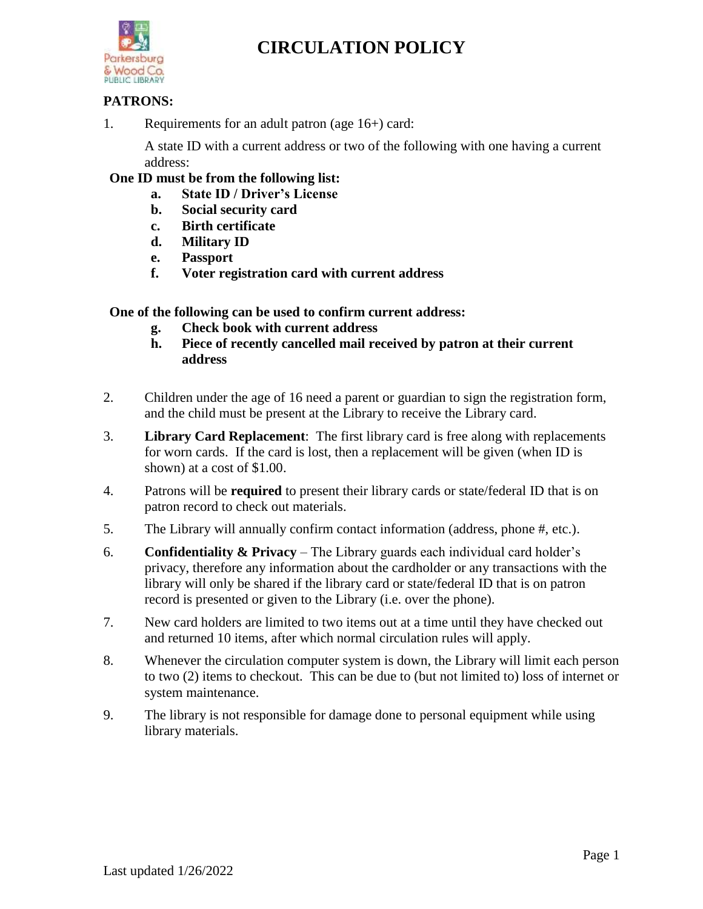

### **PATRONS:**

1. Requirements for an adult patron (age 16+) card:

A state ID with a current address or two of the following with one having a current address:

### **One ID must be from the following list:**

- **a. State ID / Driver's License**
- **b. Social security card**
- **c. Birth certificate**
- **d. Military ID**
- **e. Passport**
- **f. Voter registration card with current address**

**One of the following can be used to confirm current address:**

- **g. Check book with current address**
- **h. Piece of recently cancelled mail received by patron at their current address**
- 2. Children under the age of 16 need a parent or guardian to sign the registration form, and the child must be present at the Library to receive the Library card.
- 3. **Library Card Replacement**: The first library card is free along with replacements for worn cards. If the card is lost, then a replacement will be given (when ID is shown) at a cost of \$1.00.
- 4. Patrons will be **required** to present their library cards or state/federal ID that is on patron record to check out materials.
- 5. The Library will annually confirm contact information (address, phone #, etc.).
- 6. **Confidentiality & Privacy** The Library guards each individual card holder's privacy, therefore any information about the cardholder or any transactions with the library will only be shared if the library card or state/federal ID that is on patron record is presented or given to the Library (i.e. over the phone).
- 7. New card holders are limited to two items out at a time until they have checked out and returned 10 items, after which normal circulation rules will apply.
- 8. Whenever the circulation computer system is down, the Library will limit each person to two (2) items to checkout. This can be due to (but not limited to) loss of internet or system maintenance.
- 9. The library is not responsible for damage done to personal equipment while using library materials.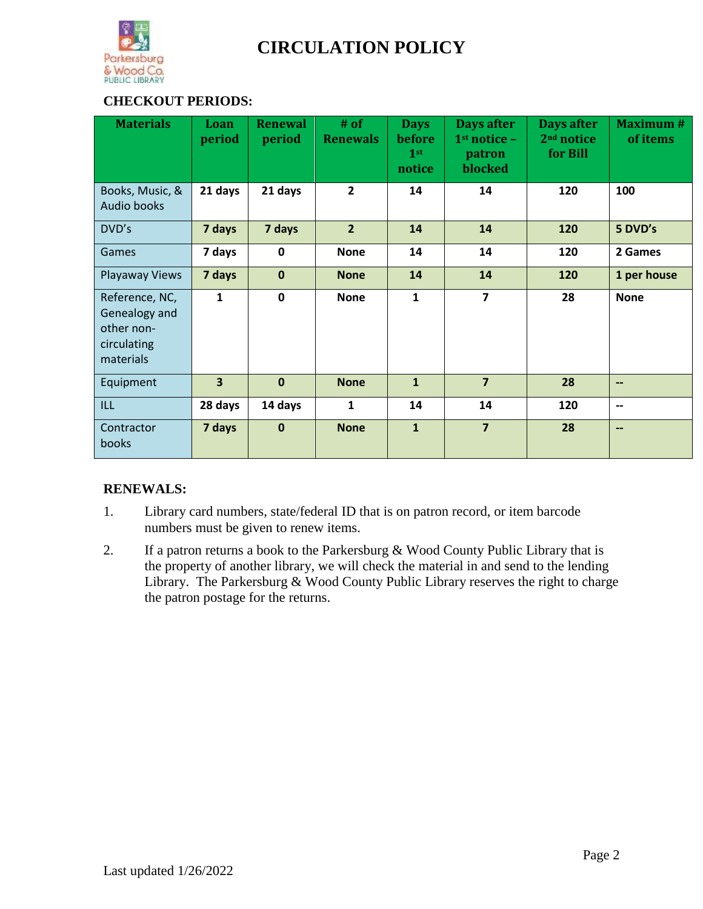

## **CHECKOUT PERIODS:**

| <b>Materials</b>                                                          | Loan<br>period          | <b>Renewal</b><br>period | $#$ of<br><b>Renewals</b> | <b>Days</b><br>before<br>1 <sup>st</sup><br>notice | Days after<br>$1st$ notice -<br>patron<br>blocked | Days after<br>2 <sup>nd</sup> notice<br>for Bill | <b>Maximum#</b><br>of items |
|---------------------------------------------------------------------------|-------------------------|--------------------------|---------------------------|----------------------------------------------------|---------------------------------------------------|--------------------------------------------------|-----------------------------|
| Books, Music, &<br><b>Audio books</b>                                     | 21 days                 | 21 days                  | $\overline{2}$            | 14                                                 | 14                                                | 120                                              | 100                         |
| DVD's                                                                     | 7 days                  | 7 days                   | $\overline{2}$            | 14                                                 | 14                                                | 120                                              | 5 DVD's                     |
| Games                                                                     | 7 days                  | $\mathbf 0$              | <b>None</b>               | 14                                                 | 14                                                | 120                                              | 2 Games                     |
| Playaway Views                                                            | 7 days                  | $\mathbf 0$              | <b>None</b>               | 14                                                 | 14                                                | 120                                              | 1 per house                 |
| Reference, NC,<br>Genealogy and<br>other non-<br>circulating<br>materials | $\mathbf{1}$            | $\mathbf 0$              | <b>None</b>               | $\mathbf{1}$                                       | $\overline{7}$                                    | 28                                               | <b>None</b>                 |
| Equipment                                                                 | $\overline{\mathbf{3}}$ | $\mathbf 0$              | <b>None</b>               | $\mathbf{1}$                                       | $\overline{7}$                                    | 28                                               | $\overline{\phantom{a}}$    |
| ILL.                                                                      | 28 days                 | 14 days                  | 1                         | 14                                                 | 14                                                | 120                                              | $\overline{\phantom{a}}$    |
| Contractor<br>books                                                       | 7 days                  | $\mathbf 0$              | <b>None</b>               | $\mathbf{1}$                                       | $\overline{7}$                                    | 28                                               | $\overline{\phantom{a}}$    |

## **RENEWALS:**

- 1. Library card numbers, state/federal ID that is on patron record, or item barcode numbers must be given to renew items.
- 2. If a patron returns a book to the Parkersburg  $& Wood County Public Library that is$ the property of another library, we will check the material in and send to the lending Library. The Parkersburg & Wood County Public Library reserves the right to charge the patron postage for the returns.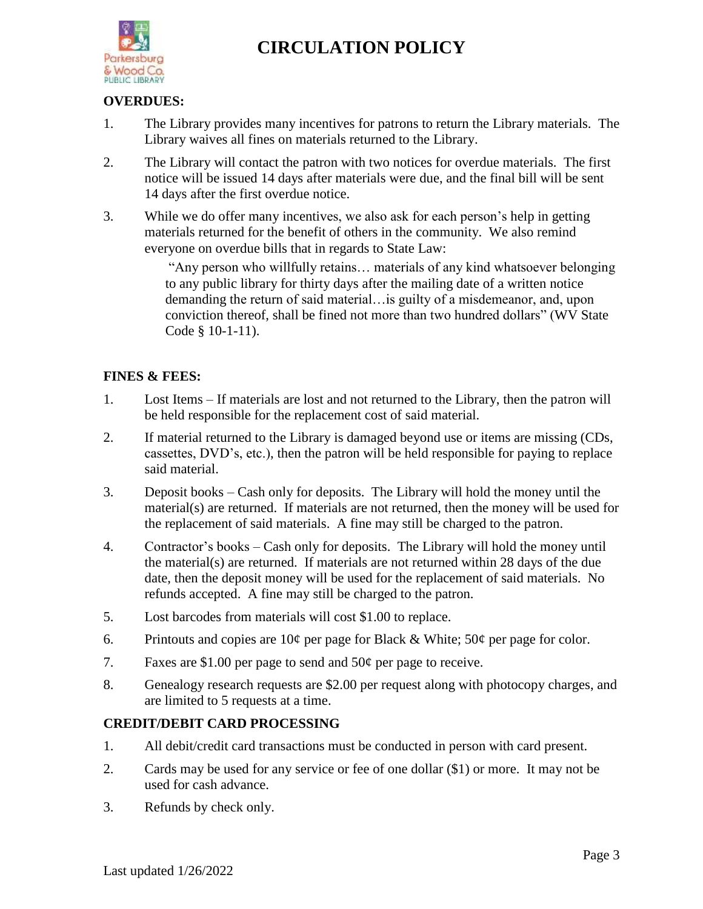

#### **OVERDUES:**

- 1. The Library provides many incentives for patrons to return the Library materials. The Library waives all fines on materials returned to the Library.
- 2. The Library will contact the patron with two notices for overdue materials. The first notice will be issued 14 days after materials were due, and the final bill will be sent 14 days after the first overdue notice.
- 3. While we do offer many incentives, we also ask for each person's help in getting materials returned for the benefit of others in the community. We also remind everyone on overdue bills that in regards to State Law:

"Any person who willfully retains… materials of any kind whatsoever belonging to any public library for thirty days after the mailing date of a written notice demanding the return of said material…is guilty of a misdemeanor, and, upon conviction thereof, shall be fined not more than two hundred dollars" (WV State Code § 10-1-11).

### **FINES & FEES:**

- 1. Lost Items If materials are lost and not returned to the Library, then the patron will be held responsible for the replacement cost of said material.
- 2. If material returned to the Library is damaged beyond use or items are missing (CDs, cassettes, DVD's, etc.), then the patron will be held responsible for paying to replace said material.
- 3. Deposit books Cash only for deposits. The Library will hold the money until the material(s) are returned. If materials are not returned, then the money will be used for the replacement of said materials. A fine may still be charged to the patron.
- 4. Contractor's books Cash only for deposits. The Library will hold the money until the material(s) are returned. If materials are not returned within 28 days of the due date, then the deposit money will be used for the replacement of said materials. No refunds accepted. A fine may still be charged to the patron.
- 5. Lost barcodes from materials will cost \$1.00 to replace.
- 6. Printouts and copies are  $10¢$  per page for Black & White;  $50¢$  per page for color.
- 7. Faxes are \$1.00 per page to send and  $50¢$  per page to receive.
- 8. Genealogy research requests are \$2.00 per request along with photocopy charges, and are limited to 5 requests at a time.

#### **CREDIT/DEBIT CARD PROCESSING**

- 1. All debit/credit card transactions must be conducted in person with card present.
- 2. Cards may be used for any service or fee of one dollar (\$1) or more. It may not be used for cash advance.
- 3. Refunds by check only.